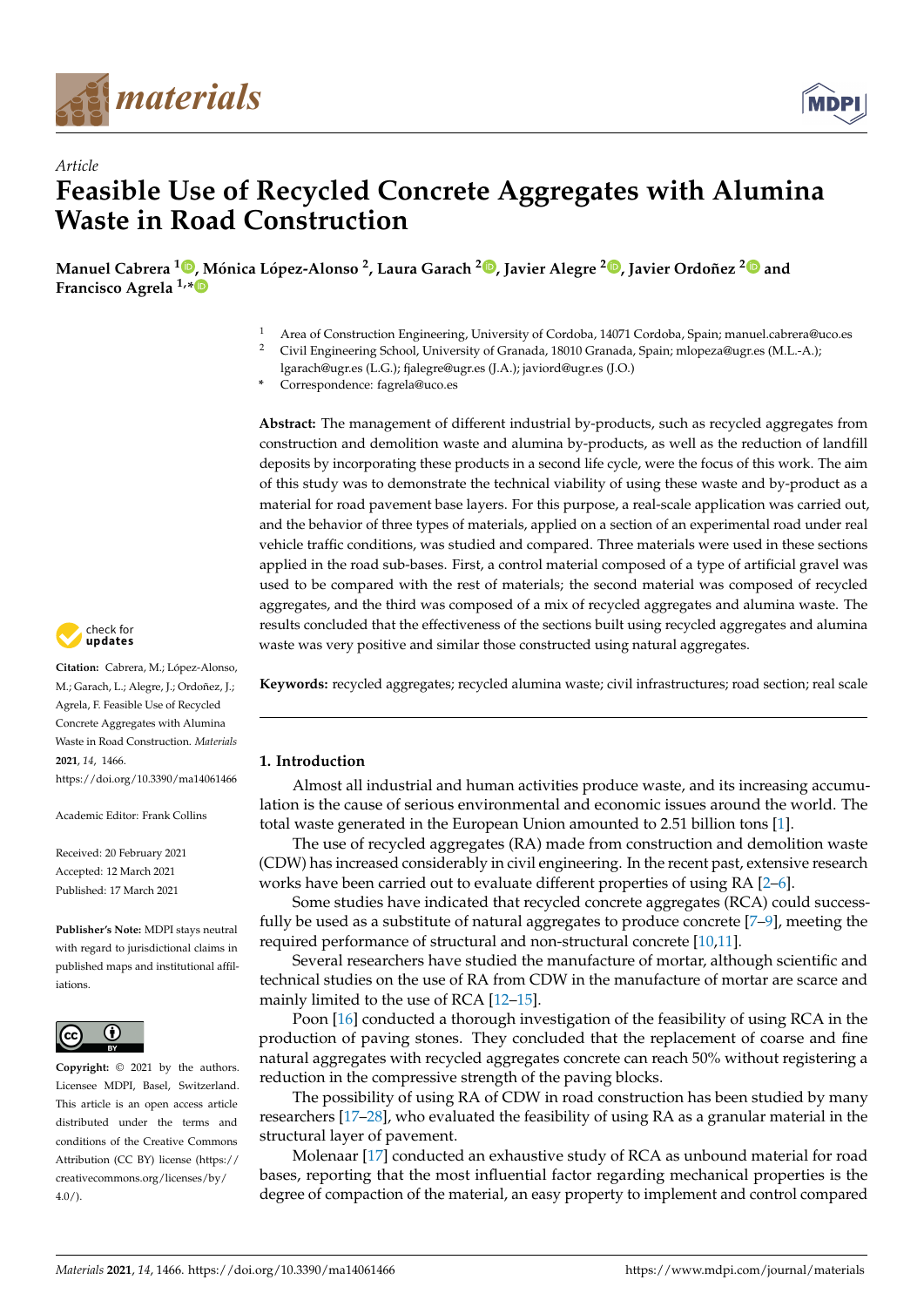

*Article*



# **Feasible Use of Recycled Concrete Aggregates with Alumina Waste in Road Construction**

**Manuel Cabrera <sup>1</sup> [,](https://orcid.org/0000-0002-3518-2583) Mónica López-Alonso <sup>2</sup> , Laura Garach <sup>2</sup> [,](https://orcid.org/0000-0003-4348-4677) Javier Alegre <sup>2</sup> [,](https://orcid.org/0000-0002-4517-6638) Javier Ordoñez [2](https://orcid.org/0000-0002-7865-1490) and Francisco Agrela 1,[\\*](https://orcid.org/0000-0002-2380-4226)**

- 1 Area of Construction Engineering, University of Cordoba, 14071 Cordoba, Spain; manuel.cabrera@uco.es<br>2 Civil Engineering School University of Cranada 18010 Cranada Spain; mlonoza@ucr.es (M J A )
- <sup>2</sup> Civil Engineering School, University of Granada, 18010 Granada, Spain; mlopeza@ugr.es (M.L.-A.);
	- lgarach@ugr.es (L.G.); fjalegre@ugr.es (J.A.); javiord@ugr.es (J.O.)
- **\*** Correspondence: fagrela@uco.es

**Abstract:** The management of different industrial by-products, such as recycled aggregates from construction and demolition waste and alumina by-products, as well as the reduction of landfill deposits by incorporating these products in a second life cycle, were the focus of this work. The aim of this study was to demonstrate the technical viability of using these waste and by-product as a material for road pavement base layers. For this purpose, a real-scale application was carried out, and the behavior of three types of materials, applied on a section of an experimental road under real vehicle traffic conditions, was studied and compared. Three materials were used in these sections applied in the road sub-bases. First, a control material composed of a type of artificial gravel was used to be compared with the rest of materials; the second material was composed of recycled aggregates, and the third was composed of a mix of recycled aggregates and alumina waste. The results concluded that the effectiveness of the sections built using recycled aggregates and alumina waste was very positive and similar those constructed using natural aggregates.



### **1. Introduction**

Almost all industrial and human activities produce waste, and its increasing accumulation is the cause of serious environmental and economic issues around the world. The total waste generated in the European Union amounted to 2.51 billion tons [\[1\]](#page-10-0).

The use of recycled aggregates (RA) made from construction and demolition waste (CDW) has increased considerably in civil engineering. In the recent past, extensive research works have been carried out to evaluate different properties of using RA [\[2–](#page-10-1)[6\]](#page-10-2).

Some studies have indicated that recycled concrete aggregates (RCA) could successfully be used as a substitute of natural aggregates to produce concrete  $[7-9]$  $[7-9]$ , meeting the required performance of structural and non-structural concrete [\[10,](#page-11-0)[11\]](#page-11-1).

Several researchers have studied the manufacture of mortar, although scientific and technical studies on the use of RA from CDW in the manufacture of mortar are scarce and mainly limited to the use of RCA [\[12](#page-11-2)[–15\]](#page-11-3).

Poon [\[16\]](#page-11-4) conducted a thorough investigation of the feasibility of using RCA in the production of paving stones. They concluded that the replacement of coarse and fine natural aggregates with recycled aggregates concrete can reach 50% without registering a reduction in the compressive strength of the paving blocks.

The possibility of using RA of CDW in road construction has been studied by many researchers [\[17–](#page-11-5)[28\]](#page-11-6), who evaluated the feasibility of using RA as a granular material in the structural layer of pavement.

Molenaar [\[17\]](#page-11-5) conducted an exhaustive study of RCA as unbound material for road bases, reporting that the most influential factor regarding mechanical properties is the degree of compaction of the material, an easy property to implement and control compared



**Citation:** Cabrera, M.; López-Alonso, M.; Garach, L.; Alegre, J.; Ordoñez, J.; Agrela, F. Feasible Use of Recycled Concrete Aggregates with Alumina Waste in Road Construction. *Materials* **2021**, *14*, 1466. <https://doi.org/10.3390/ma14061466>

Academic Editor: Frank Collins

Received: 20 February 2021 Accepted: 12 March 2021 Published: 17 March 2021

**Publisher's Note:** MDPI stays neutral with regard to jurisdictional claims in published maps and institutional affiliations.



**Copyright:** © 2021 by the authors. Licensee MDPI, Basel, Switzerland. This article is an open access article distributed under the terms and conditions of the Creative Commons Attribution (CC BY) license (https:/[/](https://creativecommons.org/licenses/by/4.0/) [creativecommons.org/licenses/by/](https://creativecommons.org/licenses/by/4.0/)  $4.0/$ ).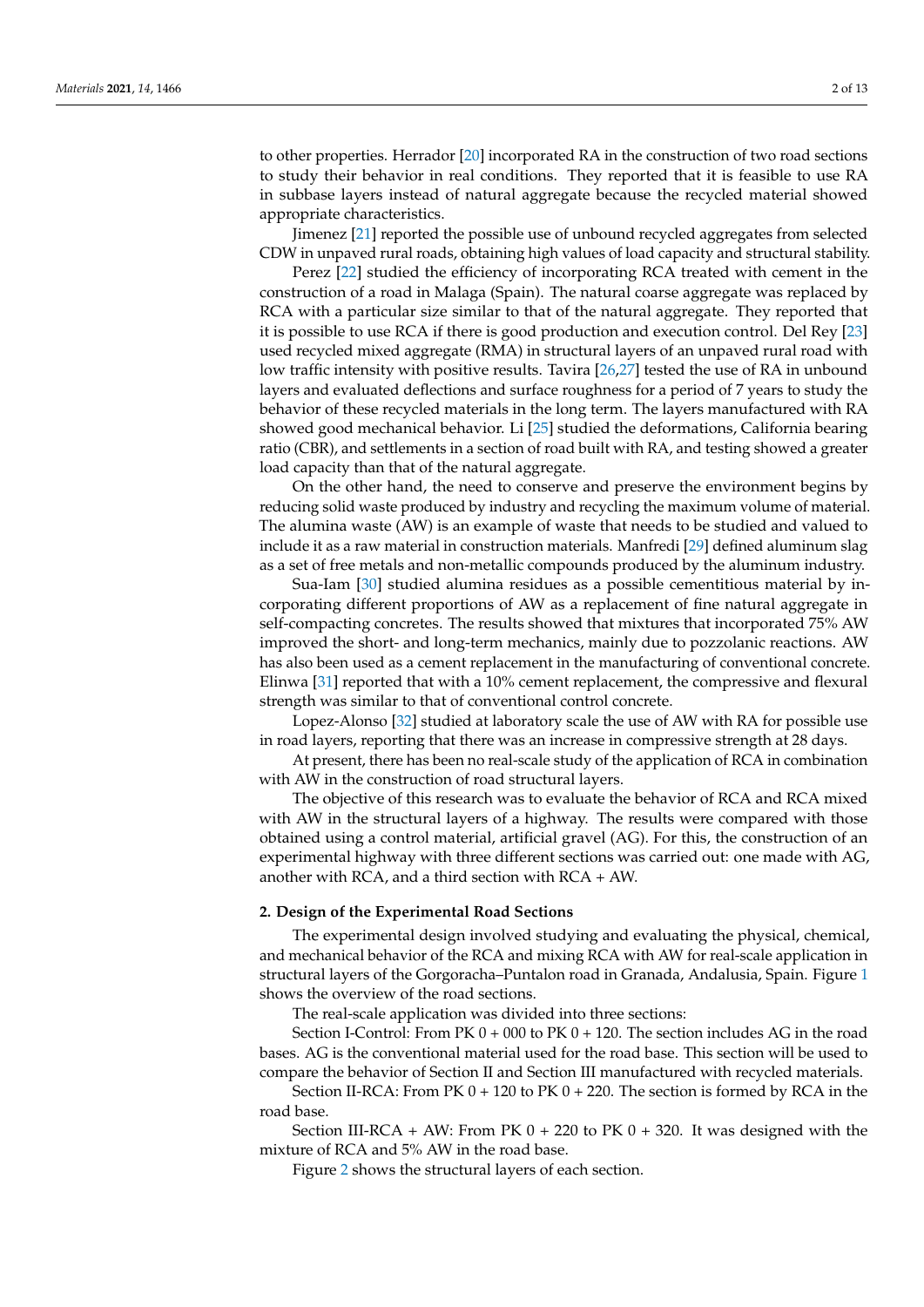to other properties. Herrador [\[20\]](#page-11-7) incorporated RA in the construction of two road sections to study their behavior in real conditions. They reported that it is feasible to use RA in subbase layers instead of natural aggregate because the recycled material showed appropriate characteristics.

Jimenez [\[21\]](#page-11-8) reported the possible use of unbound recycled aggregates from selected CDW in unpaved rural roads, obtaining high values of load capacity and structural stability.

Perez [\[22\]](#page-11-9) studied the efficiency of incorporating RCA treated with cement in the construction of a road in Malaga (Spain). The natural coarse aggregate was replaced by RCA with a particular size similar to that of the natural aggregate. They reported that it is possible to use RCA if there is good production and execution control. Del Rey [\[23\]](#page-11-10) used recycled mixed aggregate (RMA) in structural layers of an unpaved rural road with low traffic intensity with positive results. Tavira [\[26,](#page-11-11)[27\]](#page-11-12) tested the use of RA in unbound layers and evaluated deflections and surface roughness for a period of 7 years to study the behavior of these recycled materials in the long term. The layers manufactured with RA showed good mechanical behavior. Li [\[25\]](#page-11-13) studied the deformations, California bearing ratio (CBR), and settlements in a section of road built with RA, and testing showed a greater load capacity than that of the natural aggregate.

On the other hand, the need to conserve and preserve the environment begins by reducing solid waste produced by industry and recycling the maximum volume of material. The alumina waste (AW) is an example of waste that needs to be studied and valued to include it as a raw material in construction materials. Manfredi [\[29\]](#page-11-14) defined aluminum slag as a set of free metals and non-metallic compounds produced by the aluminum industry.

Sua-Iam [\[30\]](#page-11-15) studied alumina residues as a possible cementitious material by incorporating different proportions of AW as a replacement of fine natural aggregate in self-compacting concretes. The results showed that mixtures that incorporated 75% AW improved the short- and long-term mechanics, mainly due to pozzolanic reactions. AW has also been used as a cement replacement in the manufacturing of conventional concrete. Elinwa [\[31\]](#page-11-16) reported that with a 10% cement replacement, the compressive and flexural strength was similar to that of conventional control concrete.

Lopez-Alonso [\[32\]](#page-11-17) studied at laboratory scale the use of AW with RA for possible use in road layers, reporting that there was an increase in compressive strength at 28 days.

At present, there has been no real-scale study of the application of RCA in combination with AW in the construction of road structural layers.

The objective of this research was to evaluate the behavior of RCA and RCA mixed with AW in the structural layers of a highway. The results were compared with those obtained using a control material, artificial gravel (AG). For this, the construction of an experimental highway with three different sections was carried out: one made with AG, another with RCA, and a third section with RCA + AW.

#### **2. Design of the Experimental Road Sections**

The experimental design involved studying and evaluating the physical, chemical, and mechanical behavior of the RCA and mixing RCA with AW for real-scale application in structural layers of the Gorgoracha–Puntalon road in Granada, Andalusia, Spain. Figure [1](#page-2-0) shows the overview of the road sections.

The real-scale application was divided into three sections:

Section I-Control: From PK  $0 + 000$  to PK  $0 + 120$ . The section includes AG in the road bases. AG is the conventional material used for the road base. This section will be used to compare the behavior of Section II and Section III manufactured with recycled materials.

Section II-RCA: From PK  $0 + 120$  to PK  $0 + 220$ . The section is formed by RCA in the road base.

Section III-RCA + AW: From PK  $0 + 220$  to PK  $0 + 320$ . It was designed with the mixture of RCA and 5% AW in the road base.

Figure [2](#page-2-1) shows the structural layers of each section.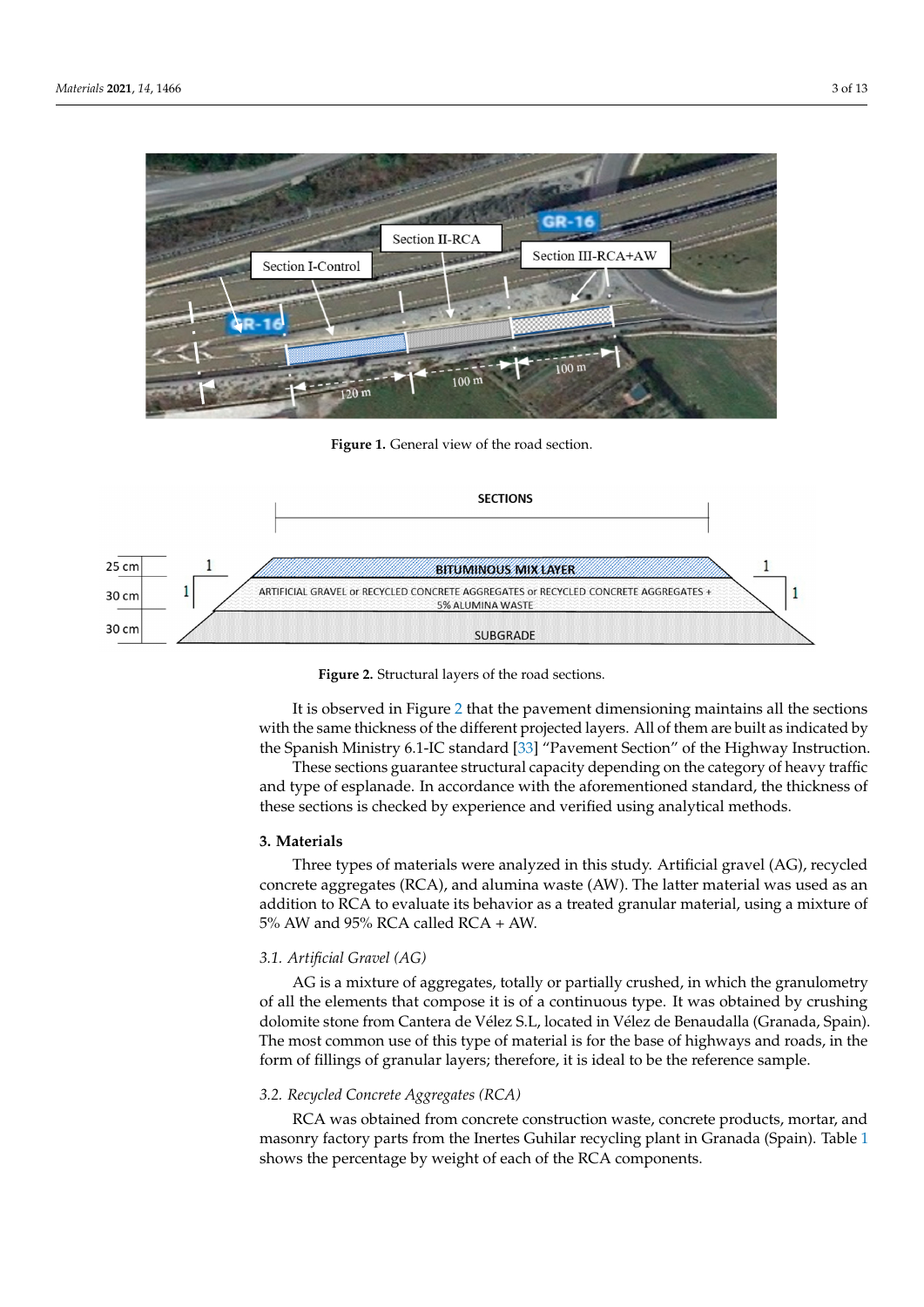<span id="page-2-0"></span>

Figure 1. General view of the road section. Figure 2 shows the structural layers of each section.

<span id="page-2-1"></span>



It is observed in Figure [2 t](#page-2-1)hat the pavement dimensioning maintains all the sections It is observed in Figure 2 that the pavement dimensioning maintains all the sections with the same thickness of the different projected layers. All of them are built as indicated by the Spanish Ministry 6.1-IC standar[d \[3](#page-11-18)3] "Pavement Section" of the Highway Instruction.

and type of esplanade. In accordance with the aforementioned standard, the thickness of these sections is checked by experience and verified using analytical methods. These sections guarantee structural capacity depending on the category of heavy traffic

#### **Figure 2.** Structural layers of the road sections. of these sections is checked by experimental methods. The section and verified using and verified using analytical methods. **3. Materials**

crete aggregates (RCA), and alumina waste (AW). The latter material was used as an addition to RCA to evaluate its behavior as a treated granular material, using a mixture of  $5\%$  AW and 95% RCA called RCA + AW. **3. Materials**  Three types of materials were analyzed in this study. Artificial gravel (AG), recycled concrete aggregates (RCA), and alumina waste (AW). The latter material was used as an<br>addition to RCA to evaluate its behavior as a treated granular material, using a mixture of<br>5% AW and 95% RCA called RCA + AW.

#### tion.  $T$ 3.1. Artificial Gravel (AG)

AG is a mixture of aggregates, totally or partially crushed, in which the granulometry of all the elements that compose it is of a continuous type. It was obtained by crushing The most common use of this type of material is for the base of highways and roads, in the form of fillings of granular layers; therefore, it is ideal to be the reference sample. AG is a mixture of aggregates, totally or partially crushed, in which the granulometry dolomite stone from Cantera de Vélez S.L, located in Vélez de Benaudalla (Granada, Spain).

# 3.2. Recycled Concrete Aggregates (RCA). The latter material was used as an annual was used as an annual was u

addition to evaluate its behavior as treated granular material, using a RCA was obtained from concrete construction waste, concrete products, mortar, and nd 95% RCA was obtained Hom concrete construction waste, concrete products, mortal, and masonry factory parts from the Inertes Guhilar recycling plant in Granada (Spain). Table [1](#page-3-0) shows the percentage by weight of each of the RCA components.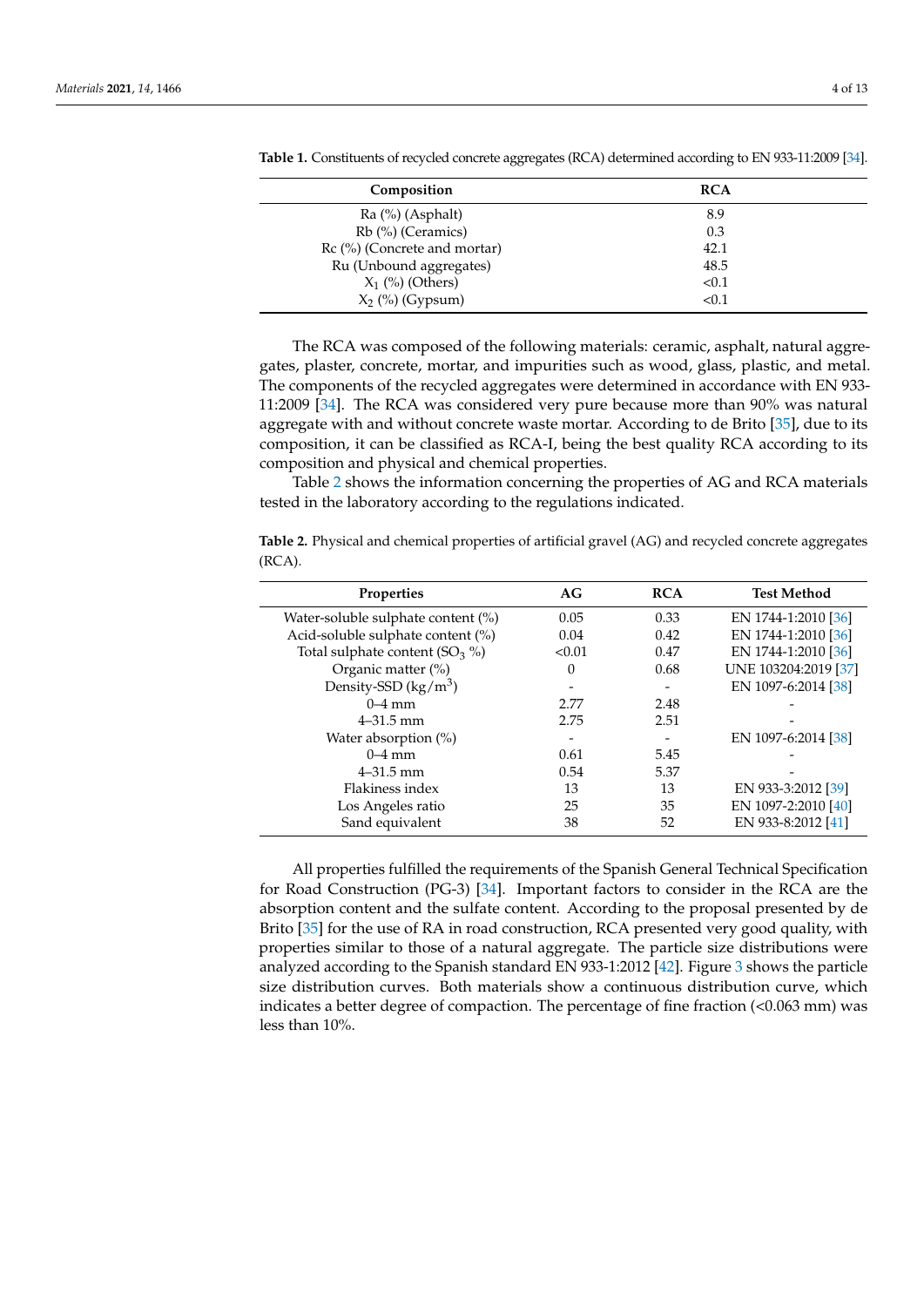| Composition                  | <b>RCA</b> |
|------------------------------|------------|
| $Ra$ (%) (Asphalt)           | 8.9        |
| Rb (%) (Ceramics)            | 0.3        |
| Rc (%) (Concrete and mortar) | 42.1       |
| Ru (Unbound aggregates)      | 48.5       |
| $X_1$ (%) (Others)           | < 0.1      |
| $X_2$ (%) (Gypsum)           | < 0.1      |

<span id="page-3-0"></span>**Table 1.** Constituents of recycled concrete aggregates (RCA) determined according to EN 933-11:2009 [\[34\]](#page-11-19).

The RCA was composed of the following materials: ceramic, asphalt, natural aggregates, plaster, concrete, mortar, and impurities such as wood, glass, plastic, and metal. The components of the recycled aggregates were determined in accordance with EN 933- 11:2009 [\[34\]](#page-11-19). The RCA was considered very pure because more than 90% was natural aggregate with and without concrete waste mortar. According to de Brito [\[35\]](#page-11-20), due to its composition, it can be classified as RCA-I, being the best quality RCA according to its composition and physical and chemical properties.

Table [2](#page-3-1) shows the information concerning the properties of AG and RCA materials tested in the laboratory according to the regulations indicated.

<span id="page-3-1"></span>**Table 2.** Physical and chemical properties of artificial gravel (AG) and recycled concrete aggregates (RCA).

| <b>Properties</b>                  | AG              | <b>RCA</b> | <b>Test Method</b>   |
|------------------------------------|-----------------|------------|----------------------|
| Water-soluble sulphate content (%) | 0.05            | 0.33       | EN 1744-1:2010 [36]  |
| Acid-soluble sulphate content (%)  | 0.04            | 0.42       | EN 1744-1:2010 [36]  |
| Total sulphate content $(SO_3 \%)$ | < 0.01          | 0.47       | EN 1744-1:2010 [36]  |
| Organic matter (%)                 | $\Omega$        | 0.68       | UNE 103204:2019 [37] |
| Density-SSD $(kg/m^3)$             |                 |            | EN 1097-6:2014 [38]  |
| $0-4$ mm                           | 2.77            | 2.48       |                      |
| $4 - 31.5$ mm                      | 2.75            | 2.51       |                      |
| Water absorption (%)               | $\qquad \qquad$ |            | EN 1097-6:2014 [38]  |
| $0-4$ mm                           | 0.61            | 5.45       |                      |
| $4 - 31.5$ mm                      | 0.54            | 5.37       |                      |
| Flakiness index                    | 13              | 13         | EN 933-3:2012 [39]   |
| Los Angeles ratio                  | 25              | 35         | EN 1097-2:2010 [40]  |
| Sand equivalent                    | 38              | 52         | EN 933-8:2012 [41]   |

All properties fulfilled the requirements of the Spanish General Technical Specification for Road Construction (PG-3) [\[34\]](#page-11-19). Important factors to consider in the RCA are the absorption content and the sulfate content. According to the proposal presented by de Brito [\[35\]](#page-11-20) for the use of RA in road construction, RCA presented very good quality, with properties similar to those of a natural aggregate. The particle size distributions were analyzed according to the Spanish standard EN 933-1:2012 [\[42\]](#page-12-4). Figure [3](#page-4-0) shows the particle size distribution curves. Both materials show a continuous distribution curve, which indicates a better degree of compaction. The percentage of fine fraction (<0.063 mm) was less than 10%.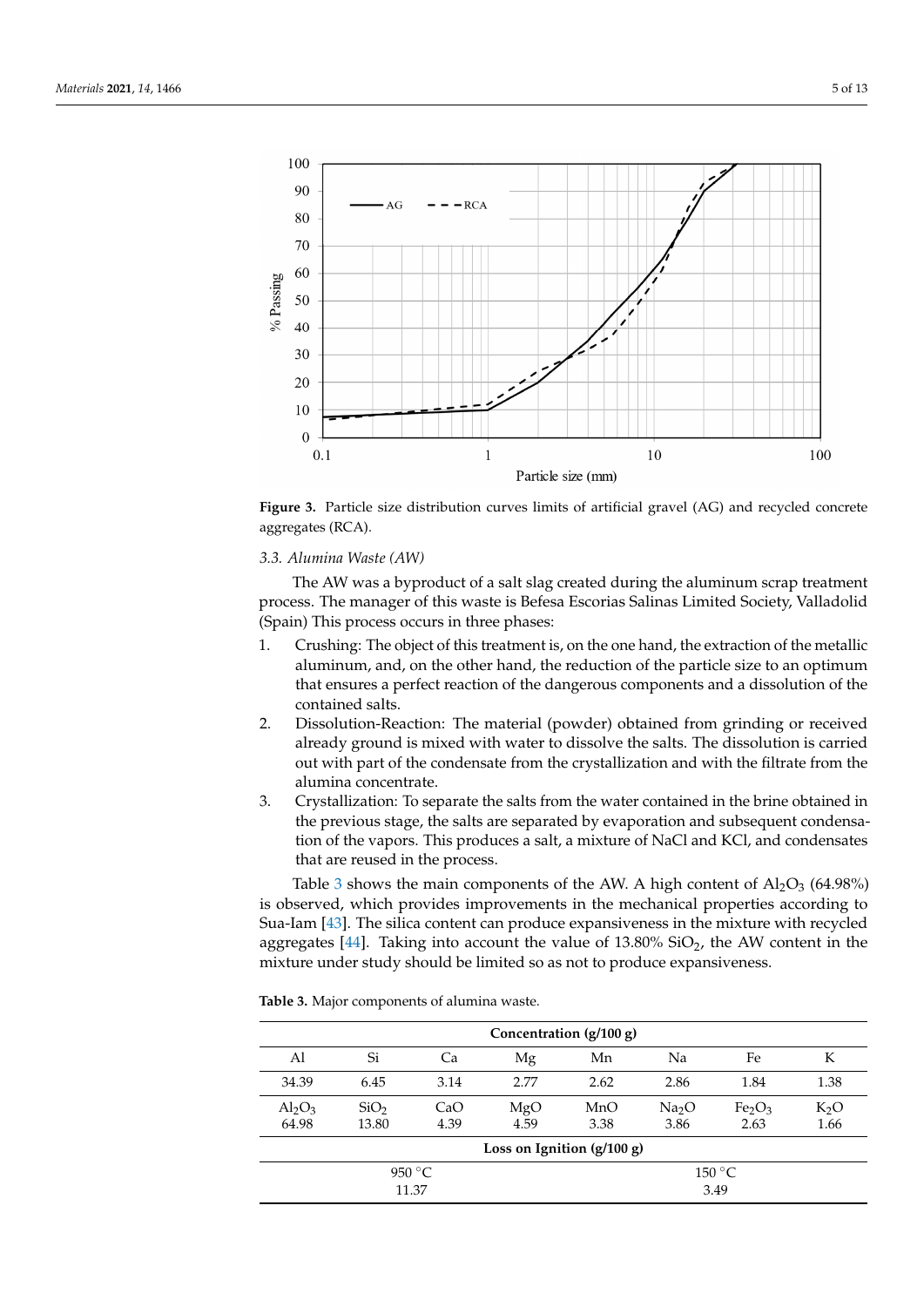<span id="page-4-0"></span>

dicates a better degree of compaction. The percentage of fine fraction (<0.063 mm) was

**Figure 3. Figure 3. Figure 3. Particle size distribution curves aggregates (RCA).**  $\blacksquare$ Figure 3. Particle size distribution curves limits of artificial gravel (AG) and recycled concrete

## *3.3. Alumina Waste (AW) 3.3. Alumina Waste (AW)*

The AW was a byproduct of a salt slag created during the aluminum scrap treatment The AW was a byproduct of a salt slag created during the aluminum scrap treatment process. The manager of this waste is Befesa Escorias Salinas Limited Society, Valladolid (Spain) This process occurs in three phases:

- 1. Crushing: The object of this treatment is, on the one hand, the extraction of the metallic aluminum, and, on the other hand, the reduction of the particle size to an optimum that ensures a perfect reaction of the dangerous components and a dissolution of the  $\mathsf{u}$ ts. contained salts.
- 2. Dissolution-Reaction: The material (powder) obtained from grinding or received already ground is mixed with water to dissolve the salts. The dissolution is carried out with part of the condensate from the crystallization and with the filtrate from the alumina concentrate. alumina concentrate.
- 3. Crystallization: To separate the salts from the water contained in the brine obtained 3. Crystallization: To separate the salts from the water contained in the brine obtained in the previous stage, the salts are separated by evaporation and subsequent condensa-<br>the previous stage, the salts are separated by evaporation and subsequent condensation of the vapors. This produces a salt, a mixture of NaCl and KCl, and condensates<br>. that are reused in the process.

Table [3](#page-4-1) shows the main components of the AW. A high content of  $Al_2O_3$  (64.98%) is observed, which provides improvements in the mechanical properties according to Sua-Iam [\[43\]](#page-12-5). The silica content can produce expansiveness in the mixture with recycled aggregates [\[44\]](#page-12-6). Taking into account the value of 13.80% SiO<sub>2</sub>, the AW content in the under study should be limited so as not to produce expansiveness. mixture under study should be limited so as not to produce expansiveness.

<span id="page-4-1"></span>**Table 3.** Major components of alumina waste.

|                                  | Concentration (g/100 g)      |                          |             |             |                           |                                        |                          |  |  |  |
|----------------------------------|------------------------------|--------------------------|-------------|-------------|---------------------------|----------------------------------------|--------------------------|--|--|--|
| Al                               | Si                           | Ca                       | Mg          | Mn          | Na                        | Fe                                     | К                        |  |  |  |
| 34.39                            | 6.45                         | 3.14                     | 2.77        | 2.62        | 2.86                      | 1.84                                   | 1.38                     |  |  |  |
| $\text{Al}_2\text{O}_3$<br>64.98 | SiO <sub>2</sub><br>13.80    | CaO<br>4.39              | MgO<br>4.59 | MnO<br>3.38 | Na <sub>2</sub> O<br>3.86 | Fe <sub>2</sub> O <sub>3</sub><br>2.63 | K <sub>2</sub> O<br>1.66 |  |  |  |
|                                  | Loss on Ignition $(g/100 g)$ |                          |             |             |                           |                                        |                          |  |  |  |
|                                  |                              | 950 $\degree$ C<br>11.37 |             |             |                           | 150 °C<br>3.49                         |                          |  |  |  |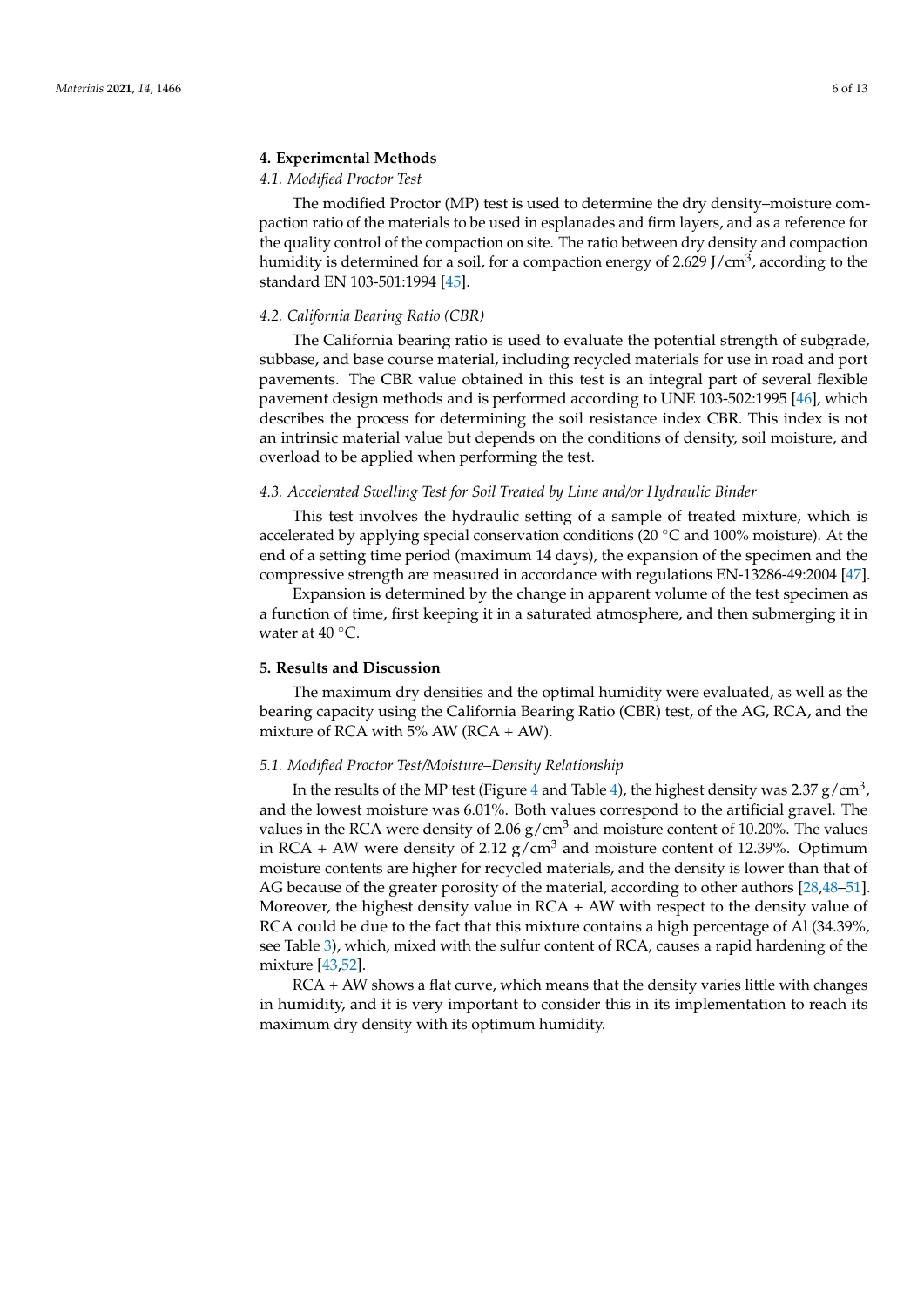#### **4. Experimental Methods**

### *4.1. Modified Proctor Test*

The modified Proctor (MP) test is used to determine the dry density–moisture compaction ratio of the materials to be used in esplanades and firm layers, and as a reference for the quality control of the compaction on site. The ratio between dry density and compaction humidity is determined for a soil, for a compaction energy of 2.629 J/cm $^3$ , according to the standard EN 103-501:1994 [\[45\]](#page-12-7).

#### *4.2. California Bearing Ratio (CBR)*

The California bearing ratio is used to evaluate the potential strength of subgrade, subbase, and base course material, including recycled materials for use in road and port pavements. The CBR value obtained in this test is an integral part of several flexible pavement design methods and is performed according to UNE 103-502:1995 [\[46\]](#page-12-8), which describes the process for determining the soil resistance index CBR. This index is not an intrinsic material value but depends on the conditions of density, soil moisture, and overload to be applied when performing the test.

#### *4.3. Accelerated Swelling Test for Soil Treated by Lime and/or Hydraulic Binder*

This test involves the hydraulic setting of a sample of treated mixture, which is accelerated by applying special conservation conditions (20 ◦C and 100% moisture). At the end of a setting time period (maximum 14 days), the expansion of the specimen and the compressive strength are measured in accordance with regulations EN-13286-49:2004 [\[47\]](#page-12-9).

Expansion is determined by the change in apparent volume of the test specimen as a function of time, first keeping it in a saturated atmosphere, and then submerging it in water at  $40^{\circ}$ C.

#### **5. Results and Discussion**

The maximum dry densities and the optimal humidity were evaluated, as well as the bearing capacity using the California Bearing Ratio (CBR) test, of the AG, RCA, and the mixture of RCA with  $5\%$  AW (RCA + AW).

#### *5.1. Modified Proctor Test/Moisture–Density Relationship*

In the results of the MP test (Figure [4](#page-6-0) and Table [4\)](#page-6-1), the highest density was 2.37 g/cm $^3$ , and the lowest moisture was 6.01%. Both values correspond to the artificial gravel. The values in the RCA were density of  $2.06$  g/cm<sup>3</sup> and moisture content of 10.20%. The values in RCA + AW were density of 2.12  $g/cm<sup>3</sup>$  and moisture content of 12.39%. Optimum moisture contents are higher for recycled materials, and the density is lower than that of AG because of the greater porosity of the material, according to other authors [\[28,](#page-11-6)[48](#page-12-10)[–51\]](#page-12-11). Moreover, the highest density value in RCA + AW with respect to the density value of RCA could be due to the fact that this mixture contains a high percentage of Al (34.39%, see Table [3\)](#page-4-1), which, mixed with the sulfur content of RCA, causes a rapid hardening of the mixture [\[43,](#page-12-5)[52\]](#page-12-12).

RCA + AW shows a flat curve, which means that the density varies little with changes in humidity, and it is very important to consider this in its implementation to reach its maximum dry density with its optimum humidity.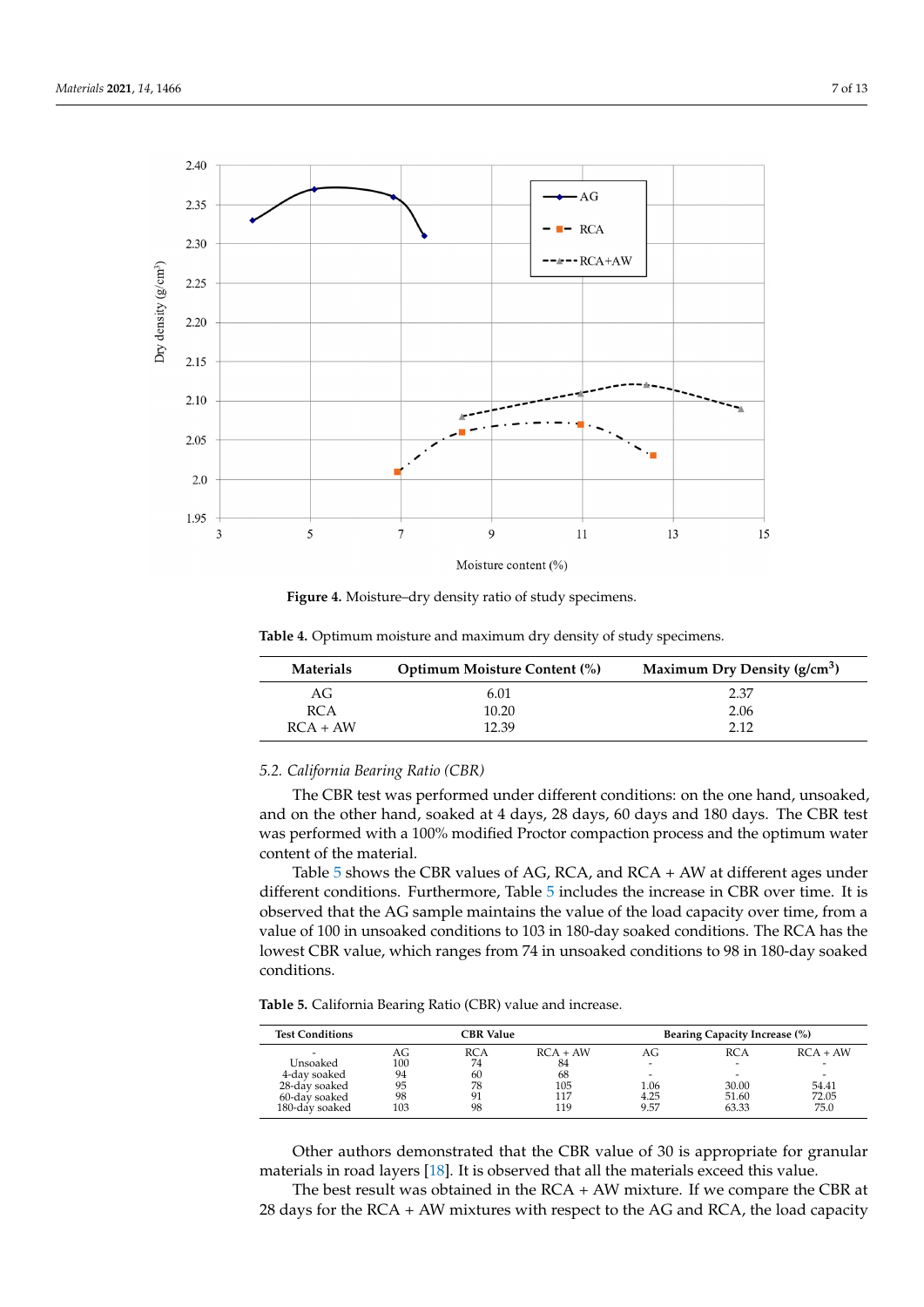<span id="page-6-0"></span>

**Figure 4.** Moisture–dry density ratio of study specimens. **Figure 4.** Moisture–dry density ratio of study specimens.

| Materials  | <b>Optimum Moisture Content (%)</b> | Maximum Dry Density $(g/cm3)$ |
|------------|-------------------------------------|-------------------------------|
| AG         | 6.01                                | 2.37                          |
| <b>RCA</b> | 10.20                               | 2.06                          |
| $RCA + AW$ | 12.39                               | 2.12                          |

<span id="page-6-1"></span>**Table 4.** Optimum moisture and maximum dry density of study specimens. **Table 4.** Optimum moisture and maximum dry density of study specimens.

#### *5.2. California Bearing Ratio (CBR)*

The CBR test was performed under different conditions: on the one hand, unsoaked, and on the other hand, soaked at 4 days, 28 days, 60 days and 180 days. The CBR test was performed with a 100% modified Proctor compaction process and the optimum water content of the material.

Table [5](#page-6-2) shows the CBR values of AG, RCA, and RCA + AW at different ages under [diff](#page-6-2)erent conditions. Furthermore, Table 5 includes the increase in CBR over time. It is observed that the AG sample maintains the value of the load capacity over time, from a value of 100 in unsoaked conditions to 103 in 180-day soaked conditions. The RCA has the value of 100 in unsoaked conditions to 103 in 180-day soaked conditions. The RCA has the<br>lowest CBR value, which ranges from 74 in unsoaked conditions to 98 in 180-day soaked  $\text{It follows.}$ conditions.

<span id="page-6-2"></span>different conditions. Furthermore, Table 5 includes the increase in CBR over time. It is **Table 5.** California Bearing Ratio (CBR) value and increase.

| <b>Test Conditions</b> | <b>CBR</b> Value |            |            |      | <b>Bearing Capacity Increase (%)</b> |            |
|------------------------|------------------|------------|------------|------|--------------------------------------|------------|
|                        | AG               | <b>RCA</b> | $RCA + AW$ | AG   | RCA                                  | $RCA + AW$ |
| Unsoaked               | 100              | 74         | 84         |      |                                      |            |
| 4-day soaked           | 94               | 60         | 68         |      |                                      |            |
| 28-day soaked          | 95               | 78         | 105        | 1.06 | 30.00                                | 54.41      |
| 60-day soaked          | 98               | 91         | 117        | 4.25 | 51.60                                | 72.05      |
| 180-day soaked         | 103              | 98         | 119        | 9.57 | 63.33                                | 75.0       |

Other authors demonstrated that the CBR value of 30 is appropriate for granular materials in road layers [\[18\]](#page-11-23). It is observed that all the materials exceed this value.

The best result was obtained in the  $RCA + AW$  mixture. If we compare the CBR at 28 days for the RCA + AW mixtures with respect to the AG and RCA, the load capacity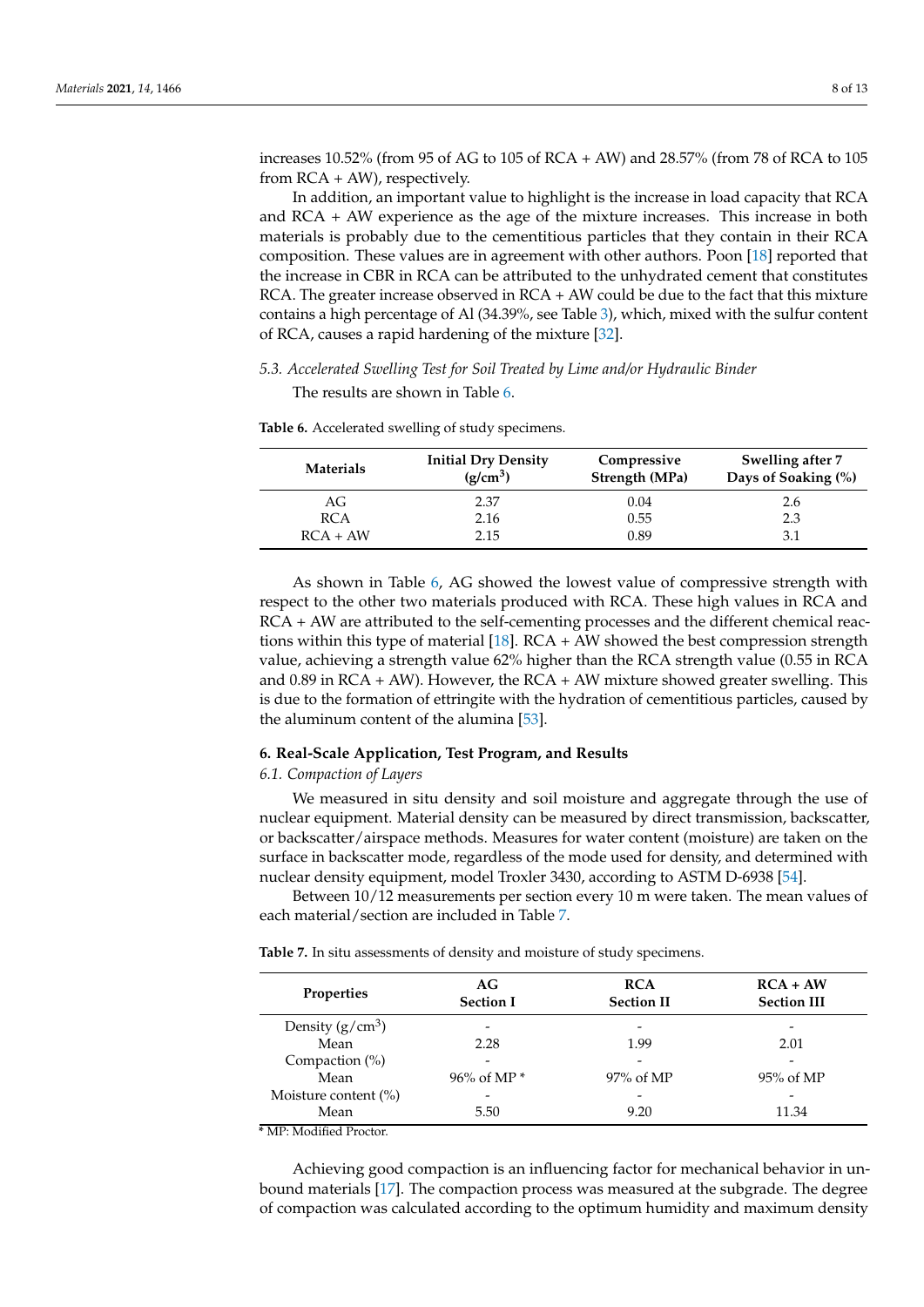increases 10.52% (from 95 of AG to 105 of RCA + AW) and 28.57% (from 78 of RCA to 105 from RCA + AW), respectively.

In addition, an important value to highlight is the increase in load capacity that RCA and  $RCA + AW$  experience as the age of the mixture increases. This increase in both materials is probably due to the cementitious particles that they contain in their RCA composition. These values are in agreement with other authors. Poon [\[18\]](#page-11-23) reported that the increase in CBR in RCA can be attributed to the unhydrated cement that constitutes RCA. The greater increase observed in  $RCA + AW$  could be due to the fact that this mixture contains a high percentage of Al (34.39%, see Table [3\)](#page-4-1), which, mixed with the sulfur content of RCA, causes a rapid hardening of the mixture [\[32\]](#page-11-17).

#### *5.3. Accelerated Swelling Test for Soil Treated by Lime and/or Hydraulic Binder*

The results are shown in Table [6.](#page-7-0)

| <b>Materials</b> | <b>Initial Dry Density</b><br>Compressive<br>$(g/cm^3)$<br>Strength (MPa) |      | Swelling after 7<br>Days of Soaking (%) |  |  |
|------------------|---------------------------------------------------------------------------|------|-----------------------------------------|--|--|
| AG               | 2.37                                                                      | 0.04 | 2.6                                     |  |  |
| <b>RCA</b>       | 2.16                                                                      | 0.55 | 2.3                                     |  |  |
| $RCA + AW$       | 2.15                                                                      | 0.89 | 3.1                                     |  |  |
|                  |                                                                           |      |                                         |  |  |

<span id="page-7-0"></span>**Table 6.** Accelerated swelling of study specimens.

As shown in Table [6,](#page-7-0) AG showed the lowest value of compressive strength with respect to the other two materials produced with RCA. These high values in RCA and RCA + AW are attributed to the self-cementing processes and the different chemical reactions within this type of material [\[18\]](#page-11-23). RCA + AW showed the best compression strength value, achieving a strength value 62% higher than the RCA strength value (0.55 in RCA and 0.89 in  $RCA + AW$ ). However, the  $RCA + AW$  mixture showed greater swelling. This is due to the formation of ettringite with the hydration of cementitious particles, caused by the aluminum content of the alumina [\[53\]](#page-12-13).

#### **6. Real-Scale Application, Test Program, and Results**

#### *6.1. Compaction of Layers*

We measured in situ density and soil moisture and aggregate through the use of nuclear equipment. Material density can be measured by direct transmission, backscatter, or backscatter/airspace methods. Measures for water content (moisture) are taken on the surface in backscatter mode, regardless of the mode used for density, and determined with nuclear density equipment, model Troxler 3430, according to ASTM D-6938 [\[54\]](#page-12-14).

Between 10/12 measurements per section every 10 m were taken. The mean values of each material/section are included in Table [7.](#page-7-1)

<span id="page-7-1"></span>**Table 7.** In situ assessments of density and moisture of study specimens.

| <b>Properties</b>       | AG<br><b>Section I</b> | <b>RCA</b><br><b>Section II</b> | $RCA + AW$<br><b>Section III</b> |  |
|-------------------------|------------------------|---------------------------------|----------------------------------|--|
| Density $(g/cm^3)$      |                        |                                 |                                  |  |
| Mean                    | 2.28                   | 1.99                            | 2.01                             |  |
| Compaction $(\%)$       | -                      |                                 |                                  |  |
| Mean                    | 96% of MP $*$          | 97% of MP                       | 95% of MP                        |  |
| Moisture content $(\%)$ | -                      |                                 | -                                |  |
| Mean                    | 5.50                   | 9.20                            | 11.34                            |  |

**\*** MP: Modified Proctor.

Achieving good compaction is an influencing factor for mechanical behavior in unbound materials [\[17\]](#page-11-5). The compaction process was measured at the subgrade. The degree of compaction was calculated according to the optimum humidity and maximum density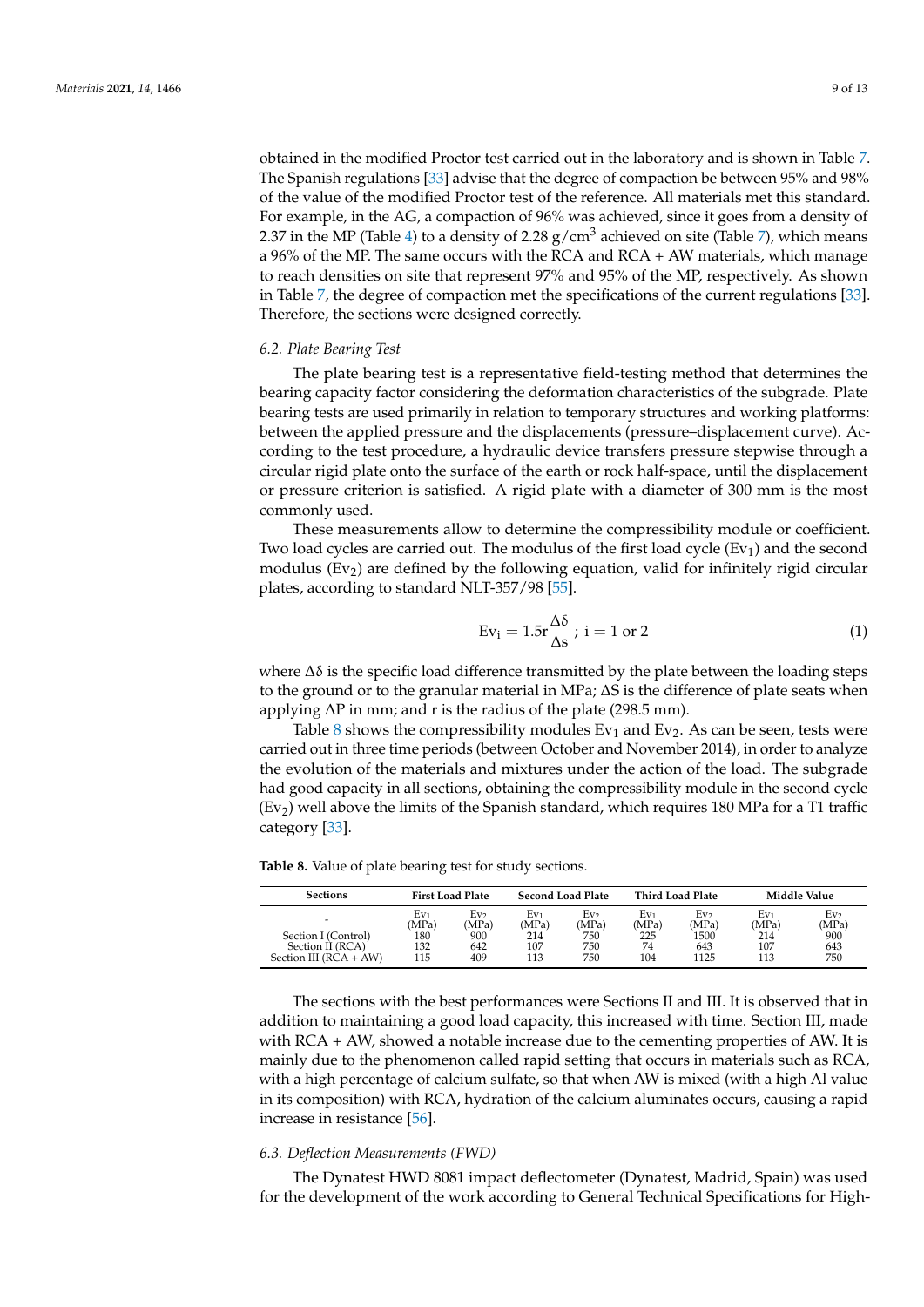obtained in the modified Proctor test carried out in the laboratory and is shown in Table [7.](#page-7-1) The Spanish regulations [\[33\]](#page-11-18) advise that the degree of compaction be between 95% and 98% of the value of the modified Proctor test of the reference. All materials met this standard. For example, in the AG, a compaction of 96% was achieved, since it goes from a density of 2.37 in the MP (Table [4\)](#page-6-1) to a density of 2.28  $g/cm<sup>3</sup>$  achieved on site (Table [7\)](#page-7-1), which means a 96% of the MP. The same occurs with the RCA and RCA + AW materials, which manage to reach densities on site that represent 97% and 95% of the MP, respectively. As shown in Table [7,](#page-7-1) the degree of compaction met the specifications of the current regulations [\[33\]](#page-11-18). Therefore, the sections were designed correctly.

#### *6.2. Plate Bearing Test*

The plate bearing test is a representative field-testing method that determines the bearing capacity factor considering the deformation characteristics of the subgrade. Plate bearing tests are used primarily in relation to temporary structures and working platforms: between the applied pressure and the displacements (pressure–displacement curve). According to the test procedure, a hydraulic device transfers pressure stepwise through a circular rigid plate onto the surface of the earth or rock half-space, until the displacement or pressure criterion is satisfied. A rigid plate with a diameter of 300 mm is the most commonly used.

These measurements allow to determine the compressibility module or coefficient. Two load cycles are carried out. The modulus of the first load cycle  $(Ev_1)$  and the second modulus  $(Ev<sub>2</sub>)$  are defined by the following equation, valid for infinitely rigid circular plates, according to standard NLT-357/98 [\[55\]](#page-12-15).

$$
Ev_i = 1.5r \frac{\Delta \delta}{\Delta s} ; i = 1 \text{ or } 2
$$
 (1)

where  $\Delta\delta$  is the specific load difference transmitted by the plate between the loading steps to the ground or to the granular material in MPa; ∆S is the difference of plate seats when applying ∆P in mm; and r is the radius of the plate (298.5 mm).

Table [8](#page-8-0) shows the compressibility modules  $Ev<sub>1</sub>$  and  $Ev<sub>2</sub>$ . As can be seen, tests were carried out in three time periods (between October and November 2014), in order to analyze the evolution of the materials and mixtures under the action of the load. The subgrade had good capacity in all sections, obtaining the compressibility module in the second cycle  $(Ev<sub>2</sub>)$  well above the limits of the Spanish standard, which requires 180 MPa for a T1 traffic category [\[33\]](#page-11-18).

<span id="page-8-0"></span>**Table 8.** Value of plate bearing test for study sections.

| <b>Sections</b>          | <b>First Load Plate</b> |                          | <b>Second Load Plate</b> |              |              | <b>Third Load Plate</b> |                 | Middle Value             |  |
|--------------------------|-------------------------|--------------------------|--------------------------|--------------|--------------|-------------------------|-----------------|--------------------------|--|
| $\overline{\phantom{0}}$ | Ev1<br>(MPa)            | Ev <sub>2</sub><br>(MPa) | Ev1<br>(MPa)             | Ev,<br>(MPa) | Ev1<br>(MPa) | Ev,<br>(MPa)            | $Ev_1$<br>(MPa) | Ev <sub>2</sub><br>(MPa) |  |
| Section I (Control)      | 180                     | 900                      | 214                      | 750          | 225          | 1500                    | 214             | 900                      |  |
| Section II (RCA)         | 132                     | 642                      | 107                      | 750          | 74           | 643                     | 107             | 643                      |  |
| Section III $(RCA + AW)$ | 115                     | 409                      | 113                      | 750          | 104          | 1125                    | 113             | 750                      |  |

The sections with the best performances were Sections II and III. It is observed that in addition to maintaining a good load capacity, this increased with time. Section III, made with RCA + AW, showed a notable increase due to the cementing properties of AW. It is mainly due to the phenomenon called rapid setting that occurs in materials such as RCA, with a high percentage of calcium sulfate, so that when AW is mixed (with a high Al value in its composition) with RCA, hydration of the calcium aluminates occurs, causing a rapid increase in resistance [\[56\]](#page-12-16).

#### *6.3. Deflection Measurements (FWD)*

The Dynatest HWD 8081 impact deflectometer (Dynatest, Madrid, Spain) was used for the development of the work according to General Technical Specifications for High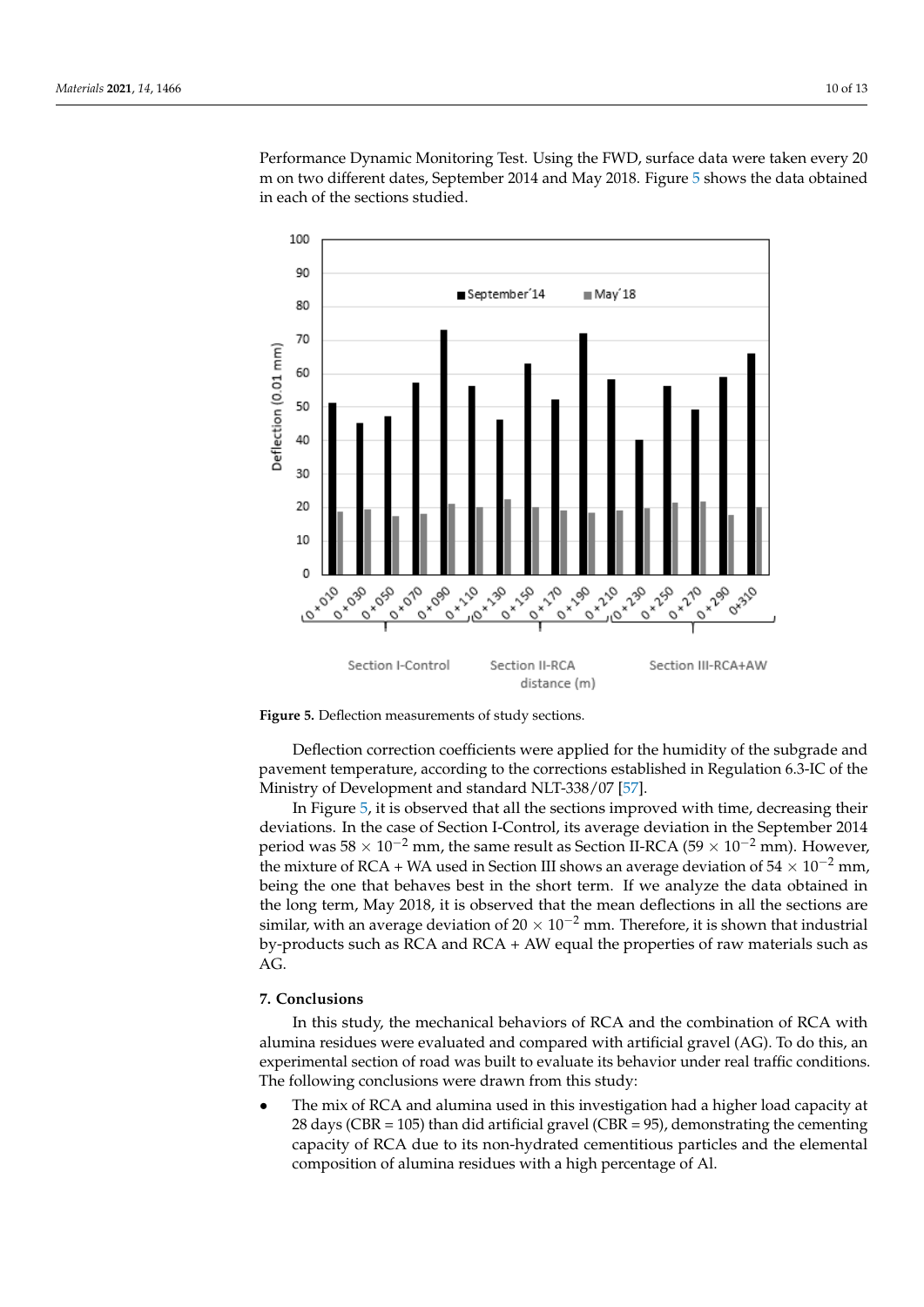Performance Dynamic Monitoring Test. Using the FWD, surface data were taken every 20 Performance Dynamic Monitoring Test. Using the FWD, surface data were taken every 20 m on two different dates, September 2014 and May 2018. Figure 5 shows the data obtained m on two different dates, September 2014 and May 2018. Figur[e 5](#page-9-0) shows the data obtained in each of the sections studied. in each of the sections studied.

<span id="page-9-0"></span>

**Figure 5. Figure 5.**  Deflection measurements of study sections. Deflection measurements of study sections.

Deflection correction coefficients were applied for the humidity of the subgrade and pavement temperature, according to the corrections established in Regulation 6.3-IC of the Ministry of Development and standard NLT-338/07 [\[57\]](#page-12-17).

In Figure [5,](#page-9-0) it is observed that all the sections improved with time, decreasing their deviations. In the case of Section I-Control, its average deviation in the September 2014 period was  $58 \times 10^{-2}$  mm, the same result as Section II-RCA ( $59 \times 10^{-2}$  mm). However, the mixture of RCA + WA used in Section III shows an average deviation of  $54 \times 10^{-2}$  mm, being the one that behaves best in the short term. If we analyze the data obtained in the long term, May 2018, it is observed that the mean deflections in all the sections are similar, with an average deviation of 20  $\times$  10<sup>-2</sup> mm. Therefore, it is shown that industrial by-products such as RCA and RCA + AW equal the properties of raw materials such as  $AG.$ 

## **7. Conclusions**

In this study, the mechanical behaviors of RCA and the combination of RCA with alumina residues were evaluated and compared with artificial gravel (AG). To do this, an experimental section of road was built to evaluate its behavior under real traffic conditions. The following conclusions were drawn from this study:

• The mix of RCA and alumina used in this investigation had a higher load capacity at 28 days (CBR = 105) than did artificial gravel (CBR = 95), demonstrating the cementing capacity of RCA due to its non-hydrated cementitious particles and the elemental composition of alumina residues with a high percentage of Al.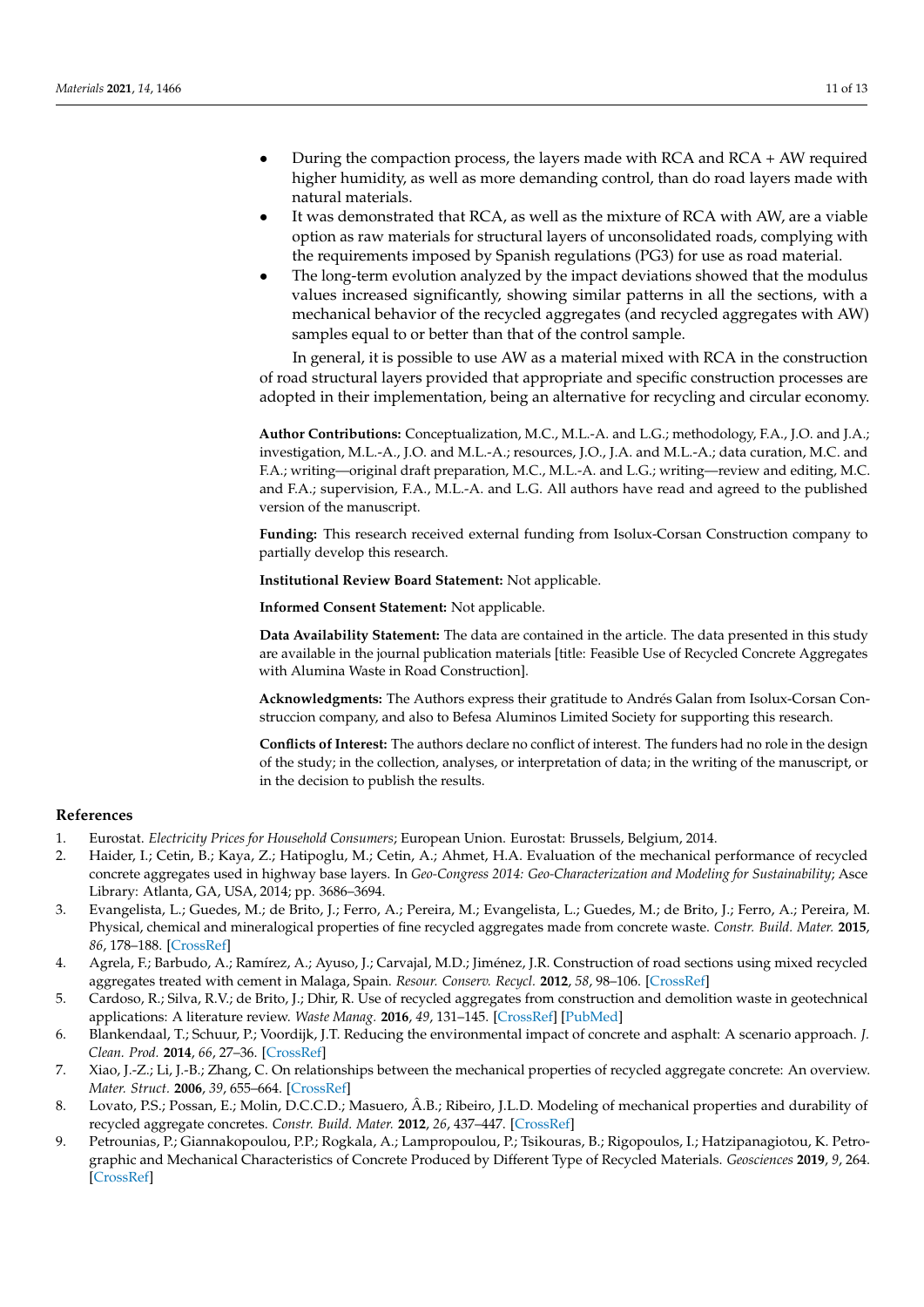- During the compaction process, the layers made with RCA and RCA + AW required higher humidity, as well as more demanding control, than do road layers made with natural materials.
- It was demonstrated that RCA, as well as the mixture of RCA with AW, are a viable option as raw materials for structural layers of unconsolidated roads, complying with the requirements imposed by Spanish regulations (PG3) for use as road material.
- The long-term evolution analyzed by the impact deviations showed that the modulus values increased significantly, showing similar patterns in all the sections, with a mechanical behavior of the recycled aggregates (and recycled aggregates with AW) samples equal to or better than that of the control sample.

In general, it is possible to use AW as a material mixed with RCA in the construction of road structural layers provided that appropriate and specific construction processes are adopted in their implementation, being an alternative for recycling and circular economy.

**Author Contributions:** Conceptualization, M.C., M.L.-A. and L.G.; methodology, F.A., J.O. and J.A.; investigation, M.L.-A., J.O. and M.L.-A.; resources, J.O., J.A. and M.L.-A.; data curation, M.C. and F.A.; writing—original draft preparation, M.C., M.L.-A. and L.G.; writing—review and editing, M.C. and F.A.; supervision, F.A., M.L.-A. and L.G. All authors have read and agreed to the published version of the manuscript.

**Funding:** This research received external funding from Isolux-Corsan Construction company to partially develop this research.

**Institutional Review Board Statement:** Not applicable.

**Informed Consent Statement:** Not applicable.

**Data Availability Statement:** The data are contained in the article. The data presented in this study are available in the journal publication materials [title: Feasible Use of Recycled Concrete Aggregates with Alumina Waste in Road Construction].

**Acknowledgments:** The Authors express their gratitude to Andrés Galan from Isolux-Corsan Construccion company, and also to Befesa Aluminos Limited Society for supporting this research.

**Conflicts of Interest:** The authors declare no conflict of interest. The funders had no role in the design of the study; in the collection, analyses, or interpretation of data; in the writing of the manuscript, or in the decision to publish the results.

#### **References**

- <span id="page-10-0"></span>1. Eurostat. *Electricity Prices for Household Consumers*; European Union. Eurostat: Brussels, Belgium, 2014.
- <span id="page-10-1"></span>2. Haider, I.; Cetin, B.; Kaya, Z.; Hatipoglu, M.; Cetin, A.; Ahmet, H.A. Evaluation of the mechanical performance of recycled concrete aggregates used in highway base layers. In *Geo-Congress 2014: Geo-Characterization and Modeling for Sustainability*; Asce Library: Atlanta, GA, USA, 2014; pp. 3686–3694.
- 3. Evangelista, L.; Guedes, M.; de Brito, J.; Ferro, A.; Pereira, M.; Evangelista, L.; Guedes, M.; de Brito, J.; Ferro, A.; Pereira, M. Physical, chemical and mineralogical properties of fine recycled aggregates made from concrete waste. *Constr. Build. Mater.* **2015**, *86*, 178–188. [\[CrossRef\]](http://doi.org/10.1016/j.conbuildmat.2015.03.112)
- 4. Agrela, F.; Barbudo, A.; Ramírez, A.; Ayuso, J.; Carvajal, M.D.; Jiménez, J.R. Construction of road sections using mixed recycled aggregates treated with cement in Malaga, Spain. *Resour. Conserv. Recycl.* **2012**, *58*, 98–106. [\[CrossRef\]](http://doi.org/10.1016/j.resconrec.2011.11.003)
- 5. Cardoso, R.; Silva, R.V.; de Brito, J.; Dhir, R. Use of recycled aggregates from construction and demolition waste in geotechnical applications: A literature review. *Waste Manag.* **2016**, *49*, 131–145. [\[CrossRef\]](http://doi.org/10.1016/j.wasman.2015.12.021) [\[PubMed\]](http://www.ncbi.nlm.nih.gov/pubmed/26748436)
- <span id="page-10-2"></span>6. Blankendaal, T.; Schuur, P.; Voordijk, J.T. Reducing the environmental impact of concrete and asphalt: A scenario approach. *J. Clean. Prod.* **2014**, *66*, 27–36. [\[CrossRef\]](http://doi.org/10.1016/j.jclepro.2013.10.012)
- <span id="page-10-3"></span>7. Xiao, J.-Z.; Li, J.-B.; Zhang, C. On relationships between the mechanical properties of recycled aggregate concrete: An overview. *Mater. Struct.* **2006**, *39*, 655–664. [\[CrossRef\]](http://doi.org/10.1617/s11527-006-9093-0)
- 8. Lovato, P.S.; Possan, E.; Molin, D.C.C.D.; Masuero, Â.B.; Ribeiro, J.L.D. Modeling of mechanical properties and durability of recycled aggregate concretes. *Constr. Build. Mater.* **2012**, *26*, 437–447. [\[CrossRef\]](http://doi.org/10.1016/j.conbuildmat.2011.06.043)
- <span id="page-10-4"></span>9. Petrounias, P.; Giannakopoulou, P.P.; Rogkala, A.; Lampropoulou, P.; Tsikouras, B.; Rigopoulos, I.; Hatzipanagiotou, K. Petrographic and Mechanical Characteristics of Concrete Produced by Different Type of Recycled Materials. *Geosciences* **2019**, *9*, 264. [\[CrossRef\]](http://doi.org/10.3390/geosciences9060264)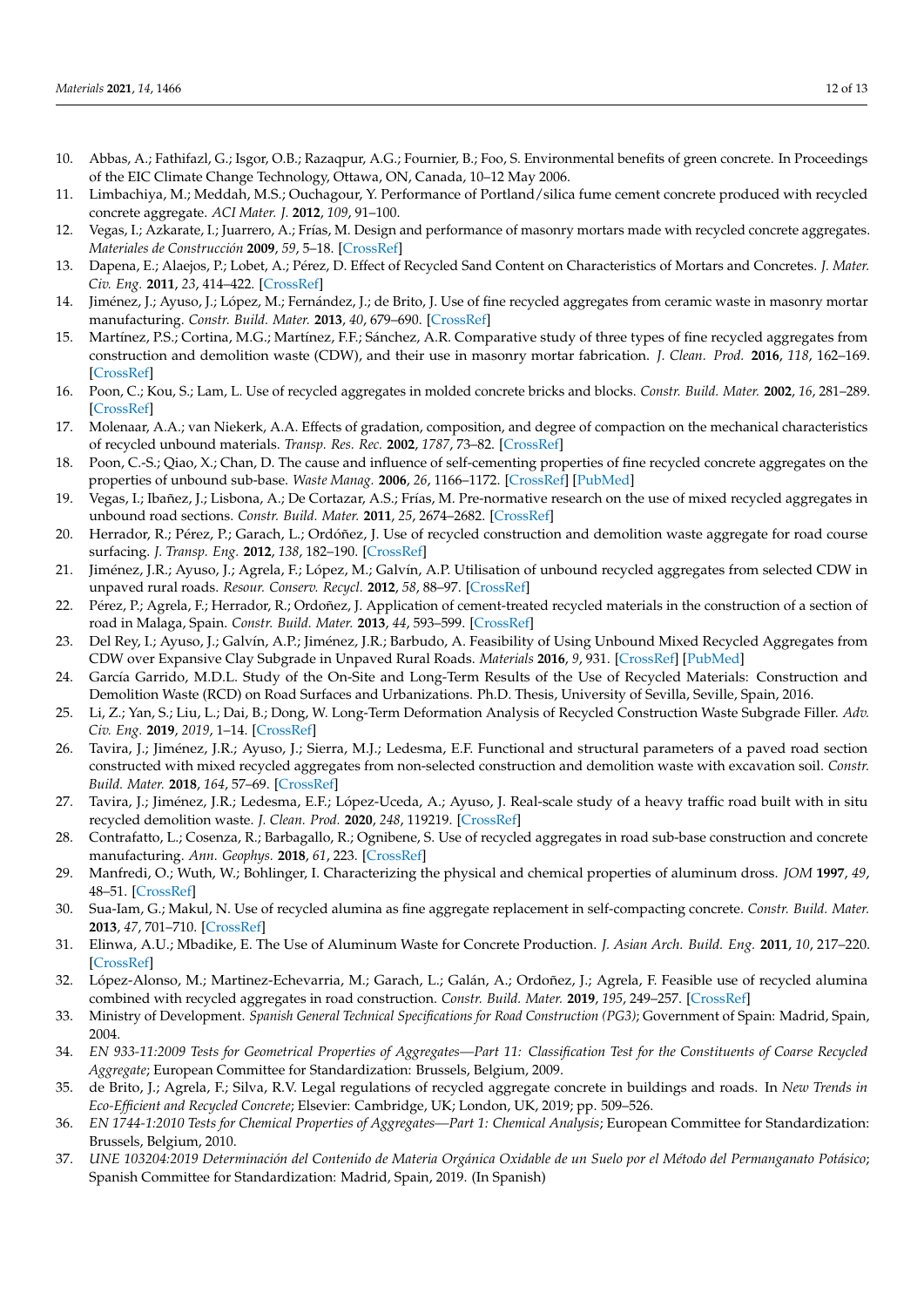- <span id="page-11-0"></span>10. Abbas, A.; Fathifazl, G.; Isgor, O.B.; Razaqpur, A.G.; Fournier, B.; Foo, S. Environmental benefits of green concrete. In Proceedings of the EIC Climate Change Technology, Ottawa, ON, Canada, 10–12 May 2006.
- <span id="page-11-1"></span>11. Limbachiya, M.; Meddah, M.S.; Ouchagour, Y. Performance of Portland/silica fume cement concrete produced with recycled concrete aggregate. *ACI Mater. J.* **2012**, *109*, 91–100.
- <span id="page-11-2"></span>12. Vegas, I.; Azkarate, I.; Juarrero, A.; Frías, M. Design and performance of masonry mortars made with recycled concrete aggregates. *Materiales de Construcción* **2009**, *59*, 5–18. [\[CrossRef\]](http://doi.org/10.3989/mc.2009.44207)
- 13. Dapena, E.; Alaejos, P.; Lobet, A.; Pérez, D. Effect of Recycled Sand Content on Characteristics of Mortars and Concretes. *J. Mater. Civ. Eng.* **2011**, *23*, 414–422. [\[CrossRef\]](http://doi.org/10.1061/(ASCE)MT.1943-5533.0000183)
- 14. Jiménez, J.; Ayuso, J.; López, M.; Fernández, J.; de Brito, J. Use of fine recycled aggregates from ceramic waste in masonry mortar manufacturing. *Constr. Build. Mater.* **2013**, *40*, 679–690. [\[CrossRef\]](http://doi.org/10.1016/j.conbuildmat.2012.11.036)
- <span id="page-11-3"></span>15. Martínez, P.S.; Cortina, M.G.; Martínez, F.F.; Sánchez, A.R. Comparative study of three types of fine recycled aggregates from construction and demolition waste (CDW), and their use in masonry mortar fabrication. *J. Clean. Prod.* **2016**, *118*, 162–169. [\[CrossRef\]](http://doi.org/10.1016/j.jclepro.2016.01.059)
- <span id="page-11-4"></span>16. Poon, C.; Kou, S.; Lam, L. Use of recycled aggregates in molded concrete bricks and blocks. *Constr. Build. Mater.* **2002**, *16*, 281–289. [\[CrossRef\]](http://doi.org/10.1016/S0950-0618(02)00019-3)
- <span id="page-11-5"></span>17. Molenaar, A.A.; van Niekerk, A.A. Effects of gradation, composition, and degree of compaction on the mechanical characteristics of recycled unbound materials. *Transp. Res. Rec.* **2002**, *1787*, 73–82. [\[CrossRef\]](http://doi.org/10.3141/1787-08)
- <span id="page-11-23"></span>18. Poon, C.-S.; Qiao, X.; Chan, D. The cause and influence of self-cementing properties of fine recycled concrete aggregates on the properties of unbound sub-base. *Waste Manag.* **2006**, *26*, 1166–1172. [\[CrossRef\]](http://doi.org/10.1016/j.wasman.2005.12.013) [\[PubMed\]](http://www.ncbi.nlm.nih.gov/pubmed/16488593)
- 19. Vegas, I.; Ibañez, J.; Lisbona, A.; De Cortazar, A.S.; Frías, M. Pre-normative research on the use of mixed recycled aggregates in unbound road sections. *Constr. Build. Mater.* **2011**, *25*, 2674–2682. [\[CrossRef\]](http://doi.org/10.1016/j.conbuildmat.2010.12.018)
- <span id="page-11-7"></span>20. Herrador, R.; Pérez, P.; Garach, L.; Ordóñez, J. Use of recycled construction and demolition waste aggregate for road course surfacing. *J. Transp. Eng.* **2012**, *138*, 182–190. [\[CrossRef\]](http://doi.org/10.1061/(ASCE)TE.1943-5436.0000320)
- <span id="page-11-8"></span>21. Jiménez, J.R.; Ayuso, J.; Agrela, F.; López, M.; Galvín, A.P. Utilisation of unbound recycled aggregates from selected CDW in unpaved rural roads. *Resour. Conserv. Recycl.* **2012**, *58*, 88–97. [\[CrossRef\]](http://doi.org/10.1016/j.resconrec.2011.10.012)
- <span id="page-11-9"></span>22. Pérez, P.; Agrela, F.; Herrador, R.; Ordoñez, J. Application of cement-treated recycled materials in the construction of a section of road in Malaga, Spain. *Constr. Build. Mater.* **2013**, *44*, 593–599. [\[CrossRef\]](http://doi.org/10.1016/j.conbuildmat.2013.02.034)
- <span id="page-11-10"></span>23. Del Rey, I.; Ayuso, J.; Galvín, A.P.; Jiménez, J.R.; Barbudo, A. Feasibility of Using Unbound Mixed Recycled Aggregates from CDW over Expansive Clay Subgrade in Unpaved Rural Roads. *Materials* **2016**, *9*, 931. [\[CrossRef\]](http://doi.org/10.3390/ma9110931) [\[PubMed\]](http://www.ncbi.nlm.nih.gov/pubmed/28774053)
- 24. García Garrido, M.D.L. Study of the On-Site and Long-Term Results of the Use of Recycled Materials: Construction and Demolition Waste (RCD) on Road Surfaces and Urbanizations. Ph.D. Thesis, University of Sevilla, Seville, Spain, 2016.
- <span id="page-11-13"></span>25. Li, Z.; Yan, S.; Liu, L.; Dai, B.; Dong, W. Long-Term Deformation Analysis of Recycled Construction Waste Subgrade Filler. *Adv. Civ. Eng.* **2019**, *2019*, 1–14. [\[CrossRef\]](http://doi.org/10.1155/2019/5891759)
- <span id="page-11-11"></span>26. Tavira, J.; Jiménez, J.R.; Ayuso, J.; Sierra, M.J.; Ledesma, E.F. Functional and structural parameters of a paved road section constructed with mixed recycled aggregates from non-selected construction and demolition waste with excavation soil. *Constr. Build. Mater.* **2018**, *164*, 57–69. [\[CrossRef\]](http://doi.org/10.1016/j.conbuildmat.2017.12.195)
- <span id="page-11-12"></span>27. Tavira, J.; Jiménez, J.R.; Ledesma, E.F.; López-Uceda, A.; Ayuso, J. Real-scale study of a heavy traffic road built with in situ recycled demolition waste. *J. Clean. Prod.* **2020**, *248*, 119219. [\[CrossRef\]](http://doi.org/10.1016/j.jclepro.2019.119219)
- <span id="page-11-6"></span>28. Contrafatto, L.; Cosenza, R.; Barbagallo, R.; Ognibene, S. Use of recycled aggregates in road sub-base construction and concrete manufacturing. *Ann. Geophys.* **2018**, *61*, 223. [\[CrossRef\]](http://doi.org/10.4401/ag-7785)
- <span id="page-11-14"></span>29. Manfredi, O.; Wuth, W.; Bohlinger, I. Characterizing the physical and chemical properties of aluminum dross. *JOM* **1997**, *49*, 48–51. [\[CrossRef\]](http://doi.org/10.1007/s11837-997-0012-9)
- <span id="page-11-15"></span>30. Sua-Iam, G.; Makul, N. Use of recycled alumina as fine aggregate replacement in self-compacting concrete. *Constr. Build. Mater.* **2013**, *47*, 701–710. [\[CrossRef\]](http://doi.org/10.1016/j.conbuildmat.2013.05.065)
- <span id="page-11-16"></span>31. Elinwa, A.U.; Mbadike, E. The Use of Aluminum Waste for Concrete Production. *J. Asian Arch. Build. Eng.* **2011**, *10*, 217–220. [\[CrossRef\]](http://doi.org/10.3130/jaabe.10.217)
- <span id="page-11-17"></span>32. López-Alonso, M.; Martinez-Echevarria, M.; Garach, L.; Galán, A.; Ordoñez, J.; Agrela, F. Feasible use of recycled alumina combined with recycled aggregates in road construction. *Constr. Build. Mater.* **2019**, *195*, 249–257. [\[CrossRef\]](http://doi.org/10.1016/j.conbuildmat.2018.11.084)
- <span id="page-11-18"></span>33. Ministry of Development. *Spanish General Technical Specifications for Road Construction (PG3)*; Government of Spain: Madrid, Spain, 2004.
- <span id="page-11-19"></span>34. *EN 933-11:2009 Tests for Geometrical Properties of Aggregates—Part 11: Classification Test for the Constituents of Coarse Recycled Aggregate*; European Committee for Standardization: Brussels, Belgium, 2009.
- <span id="page-11-20"></span>35. de Brito, J.; Agrela, F.; Silva, R.V. Legal regulations of recycled aggregate concrete in buildings and roads. In *New Trends in Eco-Efficient and Recycled Concrete*; Elsevier: Cambridge, UK; London, UK, 2019; pp. 509–526.
- <span id="page-11-21"></span>36. *EN 1744-1:2010 Tests for Chemical Properties of Aggregates—Part 1: Chemical Analysis*; European Committee for Standardization: Brussels, Belgium, 2010.
- <span id="page-11-22"></span>37. *UNE 103204:2019 Determinación del Contenido de Materia Orgánica Oxidable de un Suelo por el Método del Permanganato Potásico*; Spanish Committee for Standardization: Madrid, Spain, 2019. (In Spanish)